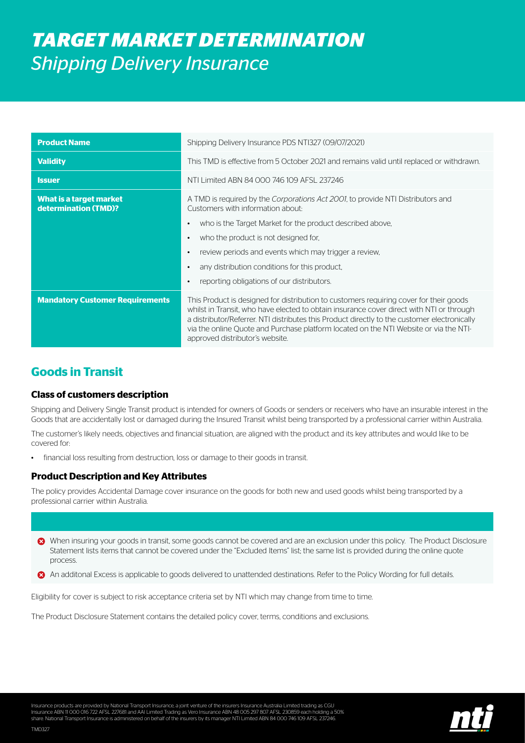# *TARGET MARKET DETERMINATION Shipping Delivery Insurance*

| <b>Product Name</b>                             | Shipping Delivery Insurance PDS NT1327 (09/07/2021)                                                                                                                                                                                                                                                                                                                                                            |
|-------------------------------------------------|----------------------------------------------------------------------------------------------------------------------------------------------------------------------------------------------------------------------------------------------------------------------------------------------------------------------------------------------------------------------------------------------------------------|
| <b>Validity</b>                                 | This TMD is effective from 5 October 2021 and remains valid until replaced or withdrawn.                                                                                                                                                                                                                                                                                                                       |
| <b>Issuer</b>                                   | NTI Limited ABN 84 000 746 109 AFSL 237246                                                                                                                                                                                                                                                                                                                                                                     |
| What is a target market<br>determination (TMD)? | A TMD is required by the Corporations Act 2001, to provide NTI Distributors and<br>Customers with information about:                                                                                                                                                                                                                                                                                           |
|                                                 | who is the Target Market for the product described above,<br>$\bullet$                                                                                                                                                                                                                                                                                                                                         |
|                                                 | who the product is not designed for,<br>$\bullet$                                                                                                                                                                                                                                                                                                                                                              |
|                                                 | review periods and events which may trigger a review,<br>$\bullet$                                                                                                                                                                                                                                                                                                                                             |
|                                                 | any distribution conditions for this product,<br>$\bullet$                                                                                                                                                                                                                                                                                                                                                     |
|                                                 | reporting obligations of our distributors.<br>$\bullet$                                                                                                                                                                                                                                                                                                                                                        |
| <b>Mandatory Customer Requirements</b>          | This Product is designed for distribution to customers requiring cover for their goods<br>whilst in Transit, who have elected to obtain insurance cover direct with NTI or through<br>a distributor/Referrer. NTI distributes this Product directly to the customer electronically<br>via the online Quote and Purchase platform located on the NTI Website or via the NTI-<br>approved distributor's website. |

## **Goods in Transit**

TMD327

#### **Class of customers description**

Shipping and Delivery Single Transit product is intended for owners of Goods or senders or receivers who have an insurable interest in the Goods that are accidentally lost or damaged during the Insured Transit whilst being transported by a professional carrier within Australia.

The customer's likely needs, objectives and financial situation, are aligned with the product and its key attributes and would like to be covered for:

financial loss resulting from destruction, loss or damage to their goods in transit.

### **Product Description and Key Attributes**

The policy provides Accidental Damage cover insurance on the goods for both new and used goods whilst being transported by a professional carrier within Australia.

- When insuring your goods in transit, some goods cannot be covered and are an exclusion under this policy. The Product Disclosure Statement lists items that cannot be covered under the "Excluded Items" list; the same list is provided during the online quote process.
- An additonal Excess is applicable to goods delivered to unattended destinations. Refer to the Policy Wording for full details.

Eligibility for cover is subject to risk acceptance criteria set by NTI which may change from time to time.

The Product Disclosure Statement contains the detailed policy cover, terms, conditions and exclusions.